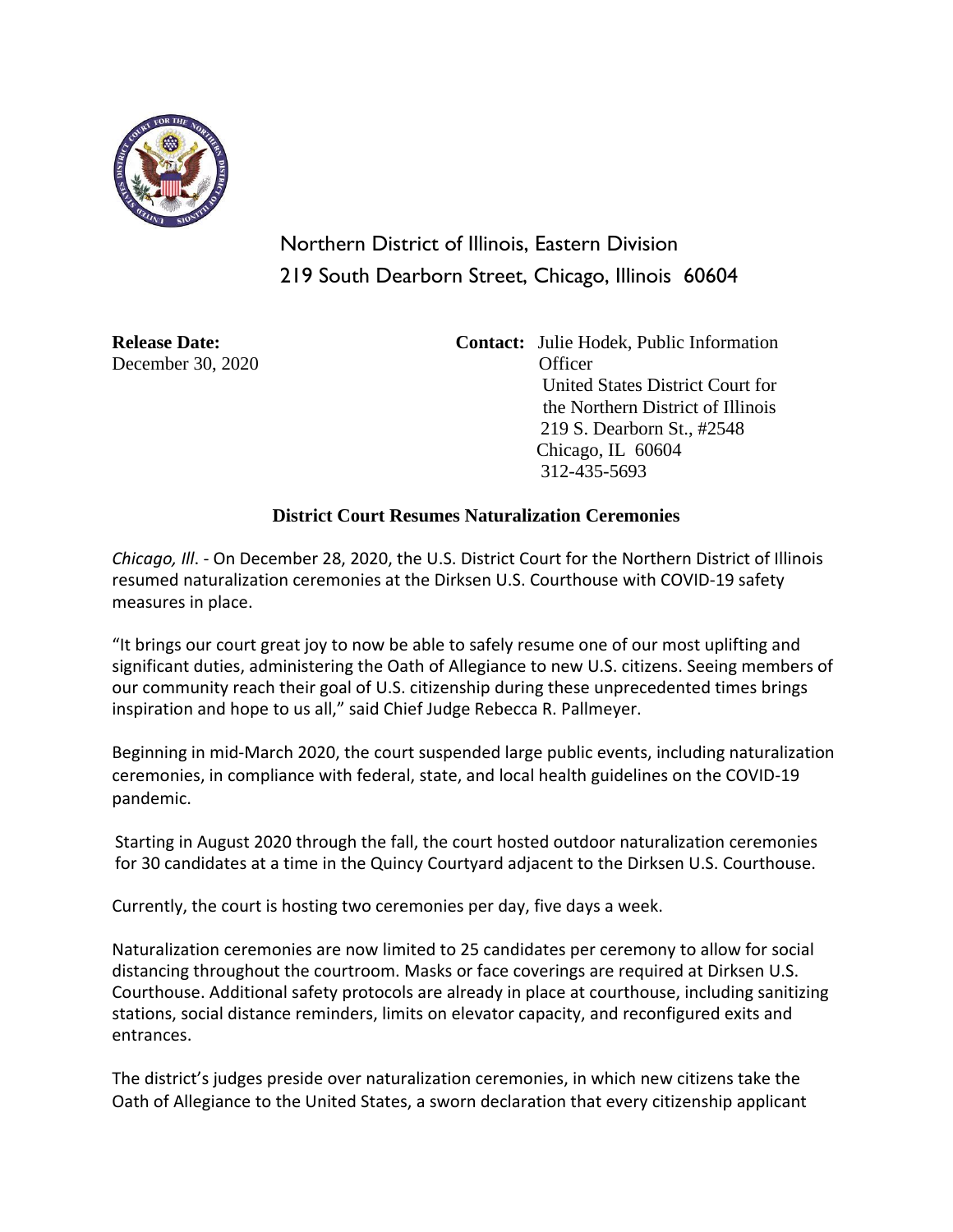

## Northern District of Illinois, Eastern Division 219 South Dearborn Street, Chicago, Illinois 60604

December 30, 2020 Officer

**Release Date:** Contact: Julie Hodek, Public Information United States District Court for the Northern District of Illinois 219 S. Dearborn St., #2548 Chicago, IL 60604 312-435-5693

## **District Court Resumes Naturalization Ceremonies**

*Chicago, Ill*. - On December 28, 2020, the U.S. District Court for the Northern District of Illinois resumed naturalization ceremonies at the Dirksen U.S. Courthouse with COVID-19 safety measures in place.

"It brings our court great joy to now be able to safely resume one of our most uplifting and significant duties, administering the Oath of Allegiance to new U.S. citizens. Seeing members of our community reach their goal of U.S. citizenship during these unprecedented times brings inspiration and hope to us all," said Chief Judge Rebecca R. Pallmeyer.

Beginning in mid-March 2020, the court suspended large public events, including naturalization ceremonies, in compliance with federal, state, and local health guidelines on the COVID-19 pandemic.

Starting in August 2020 through the fall, the court hosted outdoor naturalization ceremonies for 30 candidates at a time in the Quincy Courtyard adjacent to the Dirksen U.S. Courthouse.

Currently, the court is hosting two ceremonies per day, five days a week.

Naturalization ceremonies are now limited to 25 candidates per ceremony to allow for social distancing throughout the courtroom. Masks or face coverings are required at Dirksen U.S. Courthouse. Additional safety protocols are already in place at courthouse, including sanitizing stations, social distance reminders, limits on elevator capacity, and reconfigured exits and entrances.

The district's judges preside over naturalization ceremonies, in which new citizens take the Oath of Allegiance to the United States, a sworn declaration that every citizenship applicant